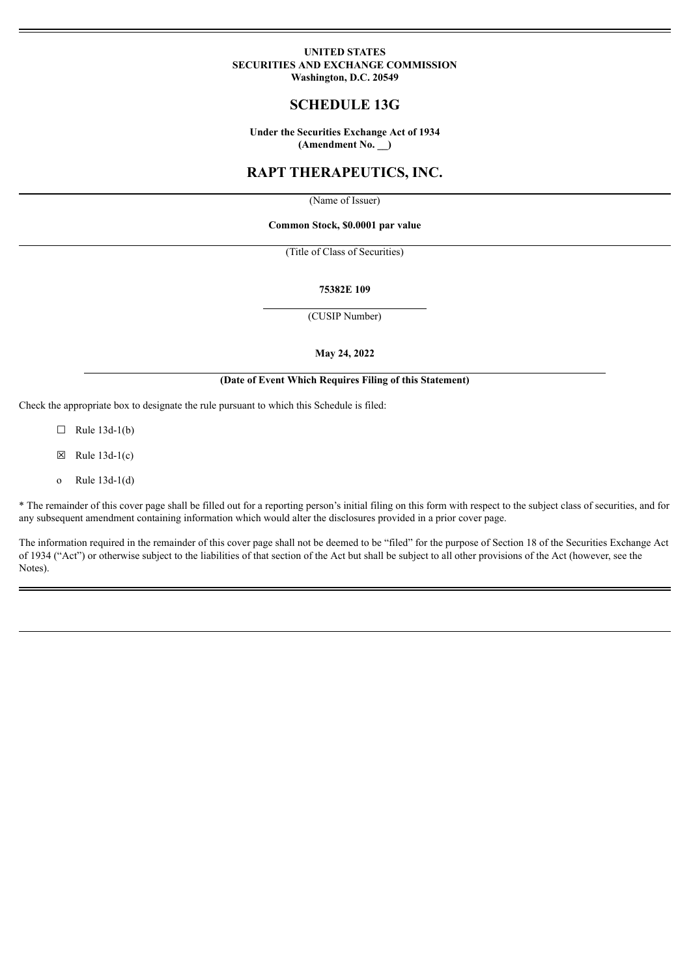### **UNITED STATES SECURITIES AND EXCHANGE COMMISSION Washington, D.C. 20549**

## **SCHEDULE 13G**

**Under the Securities Exchange Act of 1934 (Amendment No. \_\_)**

# **RAPT THERAPEUTICS, INC.**

(Name of Issuer)

### **Common Stock, \$0.0001 par value**

(Title of Class of Securities)

#### **75382E 109**

(CUSIP Number)

#### **May 24, 2022**

### **(Date of Event Which Requires Filing of this Statement)**

Check the appropriate box to designate the rule pursuant to which this Schedule is filed:

 $\Box$  Rule 13d-1(b)

 $\boxtimes$  Rule 13d-1(c)

o Rule 13d-1(d)

\* The remainder of this cover page shall be filled out for a reporting person's initial filing on this form with respect to the subject class of securities, and for any subsequent amendment containing information which would alter the disclosures provided in a prior cover page.

The information required in the remainder of this cover page shall not be deemed to be "filed" for the purpose of Section 18 of the Securities Exchange Act of 1934 ("Act") or otherwise subject to the liabilities of that section of the Act but shall be subject to all other provisions of the Act (however, see the Notes).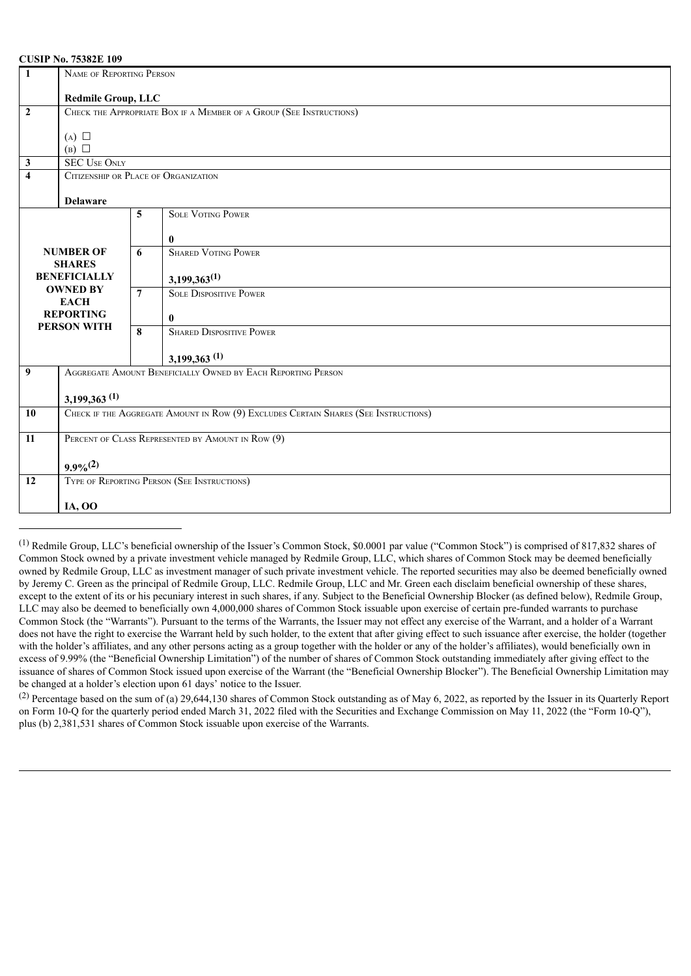### **CUSIP No. 75382E 109**

| 1                                      | NAME OF REPORTING PERSON                                                            |                         |                                 |  |  |  |  |
|----------------------------------------|-------------------------------------------------------------------------------------|-------------------------|---------------------------------|--|--|--|--|
|                                        | <b>Redmile Group, LLC</b>                                                           |                         |                                 |  |  |  |  |
| $\overline{2}$                         | CHECK THE APPROPRIATE BOX IF A MEMBER OF A GROUP (SEE INSTRUCTIONS)                 |                         |                                 |  |  |  |  |
|                                        | $(A)$ $\square$                                                                     |                         |                                 |  |  |  |  |
|                                        | $(B)$ $\square$                                                                     |                         |                                 |  |  |  |  |
| $\mathbf{3}$                           | <b>SEC USE ONLY</b>                                                                 |                         |                                 |  |  |  |  |
| $\overline{\mathbf{4}}$                | CITIZENSHIP OR PLACE OF ORGANIZATION                                                |                         |                                 |  |  |  |  |
|                                        | <b>Delaware</b>                                                                     |                         |                                 |  |  |  |  |
|                                        |                                                                                     | 5                       | <b>SOLE VOTING POWER</b>        |  |  |  |  |
|                                        |                                                                                     |                         |                                 |  |  |  |  |
|                                        |                                                                                     |                         | $\bf{0}$                        |  |  |  |  |
|                                        | <b>NUMBER OF</b>                                                                    | 6                       | <b>SHARED VOTING POWER</b>      |  |  |  |  |
|                                        | <b>SHARES</b><br><b>BENEFICIALLY</b>                                                |                         | $3,199,363^{(1)}$               |  |  |  |  |
|                                        | <b>OWNED BY</b>                                                                     | $\overline{7}$          | <b>SOLE DISPOSITIVE POWER</b>   |  |  |  |  |
|                                        | <b>EACH</b>                                                                         |                         |                                 |  |  |  |  |
| <b>REPORTING</b><br><b>PERSON WITH</b> |                                                                                     |                         | $\mathbf{0}$                    |  |  |  |  |
|                                        |                                                                                     | $\overline{\mathbf{8}}$ | <b>SHARED DISPOSITIVE POWER</b> |  |  |  |  |
|                                        |                                                                                     |                         | $3,199,363$ <sup>(1)</sup>      |  |  |  |  |
| 9                                      | AGGREGATE AMOUNT BENEFICIALLY OWNED BY EACH REPORTING PERSON                        |                         |                                 |  |  |  |  |
|                                        | $3,199,363$ <sup>(1)</sup>                                                          |                         |                                 |  |  |  |  |
| 10                                     | CHECK IF THE AGGREGATE AMOUNT IN ROW (9) EXCLUDES CERTAIN SHARES (SEE INSTRUCTIONS) |                         |                                 |  |  |  |  |
|                                        |                                                                                     |                         |                                 |  |  |  |  |
| 11                                     | PERCENT OF CLASS REPRESENTED BY AMOUNT IN ROW (9)                                   |                         |                                 |  |  |  |  |
|                                        |                                                                                     |                         |                                 |  |  |  |  |
|                                        | $9.9\%^{(2)}$                                                                       |                         |                                 |  |  |  |  |
| 12                                     | TYPE OF REPORTING PERSON (SEE INSTRUCTIONS)                                         |                         |                                 |  |  |  |  |
|                                        | <b>IA, OO</b>                                                                       |                         |                                 |  |  |  |  |

<sup>&</sup>lt;sup>(1)</sup> Redmile Group, LLC's beneficial ownership of the Issuer's Common Stock, \$0.0001 par value ("Common Stock") is comprised of 817,832 shares of Common Stock owned by a private investment vehicle managed by Redmile Group, LLC, which shares of Common Stock may be deemed beneficially owned by Redmile Group, LLC as investment manager of such private investment vehicle. The reported securities may also be deemed beneficially owned by Jeremy C. Green as the principal of Redmile Group, LLC. Redmile Group, LLC and Mr. Green each disclaim beneficial ownership of these shares, except to the extent of its or his pecuniary interest in such shares, if any. Subject to the Beneficial Ownership Blocker (as defined below), Redmile Group, LLC may also be deemed to beneficially own 4,000,000 shares of Common Stock issuable upon exercise of certain pre-funded warrants to purchase Common Stock (the "Warrants"). Pursuant to the terms of the Warrants, the Issuer may not effect any exercise of the Warrant, and a holder of a Warrant does not have the right to exercise the Warrant held by such holder, to the extent that after giving effect to such issuance after exercise, the holder (together with the holder's affiliates, and any other persons acting as a group together with the holder or any of the holder's affiliates), would beneficially own in excess of 9.99% (the "Beneficial Ownership Limitation") of the number of shares of Common Stock outstanding immediately after giving effect to the issuance of shares of Common Stock issued upon exercise of the Warrant (the "Beneficial Ownership Blocker"). The Beneficial Ownership Limitation may be changed at a holder's election upon 61 days' notice to the Issuer.

(2) Percentage based on the sum of (a) 29,644,130 shares of Common Stock outstanding as of May 6, 2022, as reported by the Issuer in its Quarterly Report on Form 10-Q for the quarterly period ended March 31, 2022 filed with the Securities and Exchange Commission on May 11, 2022 (the "Form 10-Q"). plus (b) 2,381,531 shares of Common Stock issuable upon exercise of the Warrants.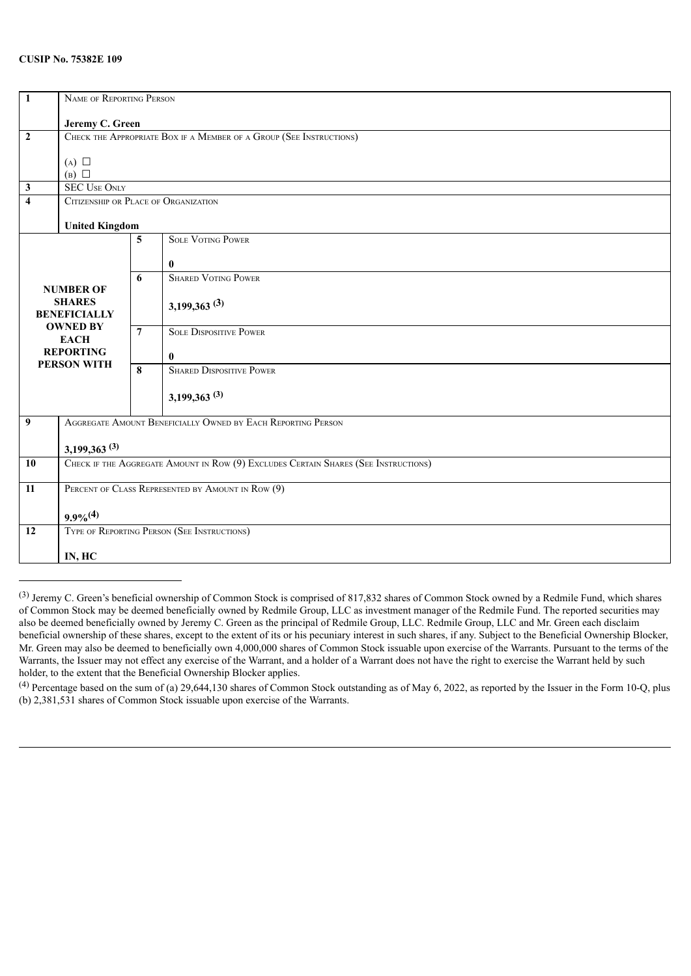### **CUSIP No. 75382E 109**

| $\overline{1}$                       | NAME OF REPORTING PERSON                                                            |                 |                                                              |  |  |  |
|--------------------------------------|-------------------------------------------------------------------------------------|-----------------|--------------------------------------------------------------|--|--|--|
|                                      | Jeremy C. Green                                                                     |                 |                                                              |  |  |  |
| $\boldsymbol{2}$                     | CHECK THE APPROPRIATE BOX IF A MEMBER OF A GROUP (SEE INSTRUCTIONS)                 |                 |                                                              |  |  |  |
|                                      |                                                                                     |                 |                                                              |  |  |  |
|                                      | $(A)$ $\square$<br>$(B)$ $\square$                                                  |                 |                                                              |  |  |  |
| $\mathbf{3}$                         | <b>SEC USE ONLY</b>                                                                 |                 |                                                              |  |  |  |
| $\overline{\bf{4}}$                  | CITIZENSHIP OR PLACE OF ORGANIZATION                                                |                 |                                                              |  |  |  |
|                                      | <b>United Kingdom</b>                                                               |                 |                                                              |  |  |  |
|                                      |                                                                                     | 5               | <b>SOLE VOTING POWER</b>                                     |  |  |  |
|                                      |                                                                                     |                 | $\bf{0}$                                                     |  |  |  |
|                                      |                                                                                     | 6               | <b>SHARED VOTING POWER</b>                                   |  |  |  |
|                                      | <b>NUMBER OF</b>                                                                    |                 |                                                              |  |  |  |
| <b>SHARES</b><br><b>BENEFICIALLY</b> |                                                                                     |                 | 3,199,363(3)                                                 |  |  |  |
|                                      | <b>OWNED BY</b>                                                                     | $7\overline{ }$ | <b>SOLE DISPOSITIVE POWER</b>                                |  |  |  |
|                                      | <b>EACH</b><br><b>REPORTING</b>                                                     |                 | $\bf{0}$                                                     |  |  |  |
| <b>PERSON WITH</b>                   |                                                                                     | 8               | <b>SHARED DISPOSITIVE POWER</b>                              |  |  |  |
|                                      |                                                                                     |                 |                                                              |  |  |  |
|                                      |                                                                                     |                 | $3,199,363$ <sup>(3)</sup>                                   |  |  |  |
| $\overline{9}$                       |                                                                                     |                 | AGGREGATE AMOUNT BENEFICIALLY OWNED BY EACH REPORTING PERSON |  |  |  |
|                                      |                                                                                     |                 |                                                              |  |  |  |
| 10                                   | $3,199,363$ <sup>(3)</sup>                                                          |                 |                                                              |  |  |  |
|                                      | CHECK IF THE AGGREGATE AMOUNT IN ROW (9) EXCLUDES CERTAIN SHARES (SEE INSTRUCTIONS) |                 |                                                              |  |  |  |
| $\overline{11}$                      | PERCENT OF CLASS REPRESENTED BY AMOUNT IN ROW (9)                                   |                 |                                                              |  |  |  |
|                                      |                                                                                     |                 |                                                              |  |  |  |
| 12                                   | $9.9\%^{(4)}$<br>TYPE OF REPORTING PERSON (SEE INSTRUCTIONS)                        |                 |                                                              |  |  |  |
|                                      |                                                                                     |                 |                                                              |  |  |  |
|                                      | IN, HC                                                                              |                 |                                                              |  |  |  |

(3) Jeremy C. Green's beneficial ownership of Common Stock is comprised of 817,832 shares of Common Stock owned by a Redmile Fund, which shares of Common Stock may be deemed beneficially owned by Redmile Group, LLC as investment manager of the Redmile Fund. The reported securities may also be deemed beneficially owned by Jeremy C. Green as the principal of Redmile Group, LLC. Redmile Group, LLC and Mr. Green each disclaim beneficial ownership of these shares, except to the extent of its or his pecuniary interest in such shares, if any. Subject to the Beneficial Ownership Blocker, Mr. Green may also be deemed to beneficially own 4,000,000 shares of Common Stock issuable upon exercise of the Warrants. Pursuant to the terms of the Warrants, the Issuer may not effect any exercise of the Warrant, and a holder of a Warrant does not have the right to exercise the Warrant held by such holder, to the extent that the Beneficial Ownership Blocker applies.

 $^{(4)}$  Percentage based on the sum of (a) 29,644,130 shares of Common Stock outstanding as of May 6, 2022, as reported by the Issuer in the Form 10-Q, plus (b) 2,381,531 shares of Common Stock issuable upon exercise of the Warrants.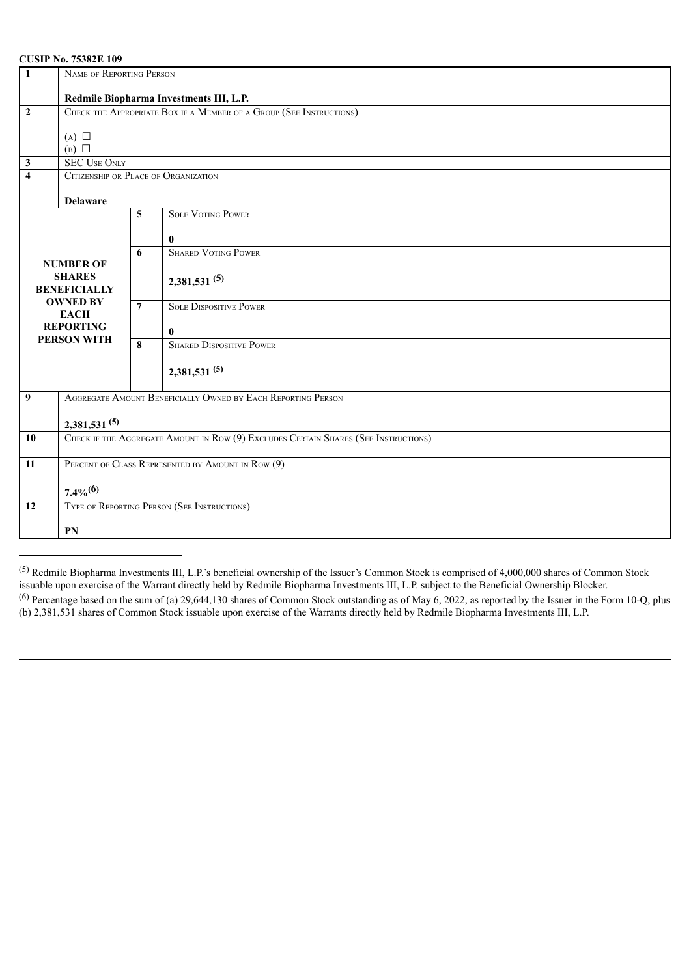### **CUSIP No. 75382E 109**

| $\overline{1}$          | NAME OF REPORTING PERSON                                                            |                         |                                                              |  |  |  |
|-------------------------|-------------------------------------------------------------------------------------|-------------------------|--------------------------------------------------------------|--|--|--|
|                         | Redmile Biopharma Investments III, L.P.                                             |                         |                                                              |  |  |  |
| $\overline{2}$          | CHECK THE APPROPRIATE BOX IF A MEMBER OF A GROUP (SEE INSTRUCTIONS)                 |                         |                                                              |  |  |  |
|                         | $(A)$ $\square$                                                                     |                         |                                                              |  |  |  |
|                         | $(B)$ $\square$                                                                     |                         |                                                              |  |  |  |
| $\overline{\mathbf{3}}$ | <b>SEC USE ONLY</b>                                                                 |                         |                                                              |  |  |  |
| $\overline{\mathbf{4}}$ | CITIZENSHIP OR PLACE OF ORGANIZATION                                                |                         |                                                              |  |  |  |
|                         | <b>Delaware</b>                                                                     |                         |                                                              |  |  |  |
|                         |                                                                                     | 5                       | <b>SOLE VOTING POWER</b>                                     |  |  |  |
|                         |                                                                                     |                         | $\mathbf{0}$                                                 |  |  |  |
|                         |                                                                                     | 6                       | <b>SHARED VOTING POWER</b>                                   |  |  |  |
|                         | <b>NUMBER OF</b><br><b>SHARES</b>                                                   |                         |                                                              |  |  |  |
| <b>BENEFICIALLY</b>     |                                                                                     |                         | 2,381,531(5)                                                 |  |  |  |
|                         | <b>OWNED BY</b><br><b>EACH</b>                                                      | $7\phantom{.0}$         | <b>SOLE DISPOSITIVE POWER</b>                                |  |  |  |
| <b>REPORTING</b>        |                                                                                     |                         | $\mathbf{0}$                                                 |  |  |  |
|                         | <b>PERSON WITH</b>                                                                  | $\overline{\mathbf{8}}$ | <b>SHARED DISPOSITIVE POWER</b>                              |  |  |  |
|                         |                                                                                     |                         |                                                              |  |  |  |
|                         |                                                                                     |                         | $2,381,531^{(5)}$                                            |  |  |  |
| $\overline{9}$          |                                                                                     |                         | AGGREGATE AMOUNT BENEFICIALLY OWNED BY EACH REPORTING PERSON |  |  |  |
|                         | $2,381,531^{(5)}$                                                                   |                         |                                                              |  |  |  |
| 10                      | CHECK IF THE AGGREGATE AMOUNT IN ROW (9) EXCLUDES CERTAIN SHARES (SEE INSTRUCTIONS) |                         |                                                              |  |  |  |
|                         |                                                                                     |                         |                                                              |  |  |  |
| 11                      | PERCENT OF CLASS REPRESENTED BY AMOUNT IN ROW (9)                                   |                         |                                                              |  |  |  |
|                         | $7.4\%^{(6)}$                                                                       |                         |                                                              |  |  |  |
| 12                      | TYPE OF REPORTING PERSON (SEE INSTRUCTIONS)                                         |                         |                                                              |  |  |  |
|                         |                                                                                     |                         |                                                              |  |  |  |
|                         | PN                                                                                  |                         |                                                              |  |  |  |

 $^{(5)}$  Redmile Biopharma Investments III, L.P.'s beneficial ownership of the Issuer's Common Stock is comprised of 4,000,000 shares of Common Stock issuable upon exercise of the Warrant directly held by Redmile Biopharma <sup>(6)</sup> Percentage based on the sum of (a) 29,644,130 shares of Common Stock outstanding as of May 6, 2022, as reported by the Issuer in the Form 10-Q, plus (b) 2,381,531 shares of Common Stock issuable upon exercise of the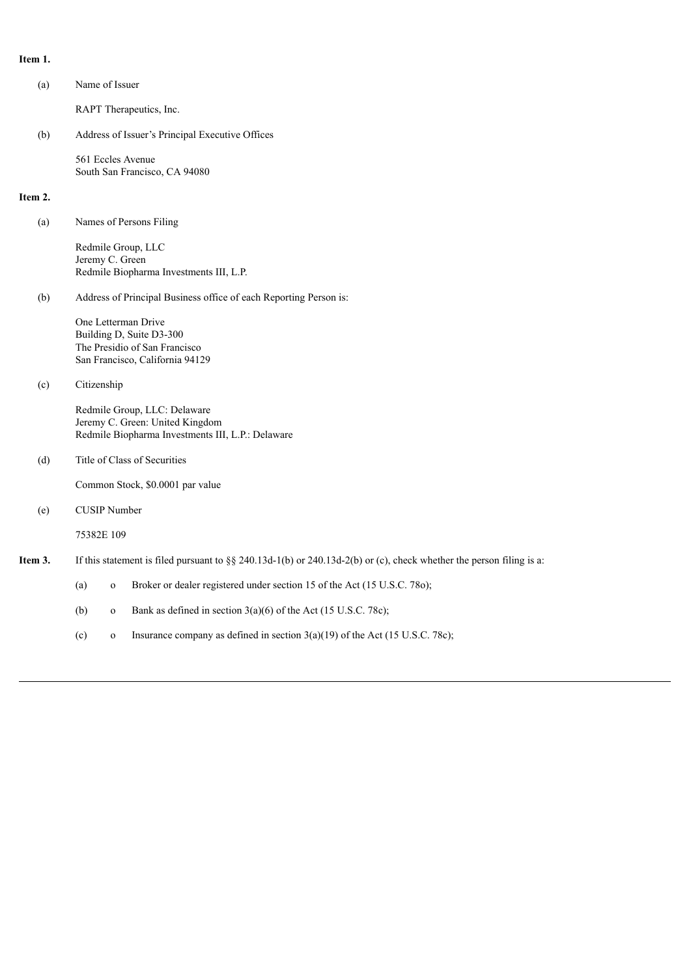## **Item 1.**

| (a)     | Name of Issuer                                                                                                       |                                                                                |  |  |  |  |
|---------|----------------------------------------------------------------------------------------------------------------------|--------------------------------------------------------------------------------|--|--|--|--|
|         | RAPT Therapeutics, Inc.                                                                                              |                                                                                |  |  |  |  |
| (b)     | Address of Issuer's Principal Executive Offices                                                                      |                                                                                |  |  |  |  |
|         | 561 Eccles Avenue                                                                                                    | South San Francisco, CA 94080                                                  |  |  |  |  |
| Item 2. |                                                                                                                      |                                                                                |  |  |  |  |
| (a)     | Names of Persons Filing                                                                                              |                                                                                |  |  |  |  |
|         | Jeremy C. Green                                                                                                      | Redmile Group, LLC<br>Redmile Biopharma Investments III, L.P.                  |  |  |  |  |
| (b)     | Address of Principal Business office of each Reporting Person is:                                                    |                                                                                |  |  |  |  |
|         | One Letterman Drive<br>Building D, Suite D3-300<br>The Presidio of San Francisco<br>San Francisco, California 94129  |                                                                                |  |  |  |  |
| (c)     | Citizenship                                                                                                          |                                                                                |  |  |  |  |
|         | Redmile Group, LLC: Delaware<br>Jeremy C. Green: United Kingdom<br>Redmile Biopharma Investments III, L.P.: Delaware |                                                                                |  |  |  |  |
| (d)     | Title of Class of Securities                                                                                         |                                                                                |  |  |  |  |
|         | Common Stock, \$0.0001 par value                                                                                     |                                                                                |  |  |  |  |
| (e)     | <b>CUSIP</b> Number                                                                                                  |                                                                                |  |  |  |  |
|         | 75382E 109                                                                                                           |                                                                                |  |  |  |  |
| Item 3. | If this statement is filed pursuant to §§ 240.13d-1(b) or 240.13d-2(b) or (c), check whether the person filing is a: |                                                                                |  |  |  |  |
|         | (a)<br>$\mathbf{o}$                                                                                                  | Broker or dealer registered under section 15 of the Act (15 U.S.C. 780);       |  |  |  |  |
|         | (b)<br>$\mathbf{O}$                                                                                                  | Bank as defined in section $3(a)(6)$ of the Act (15 U.S.C. 78c);               |  |  |  |  |
|         | (c)<br>$\mathbf{o}$                                                                                                  | Insurance company as defined in section $3(a)(19)$ of the Act (15 U.S.C. 78c); |  |  |  |  |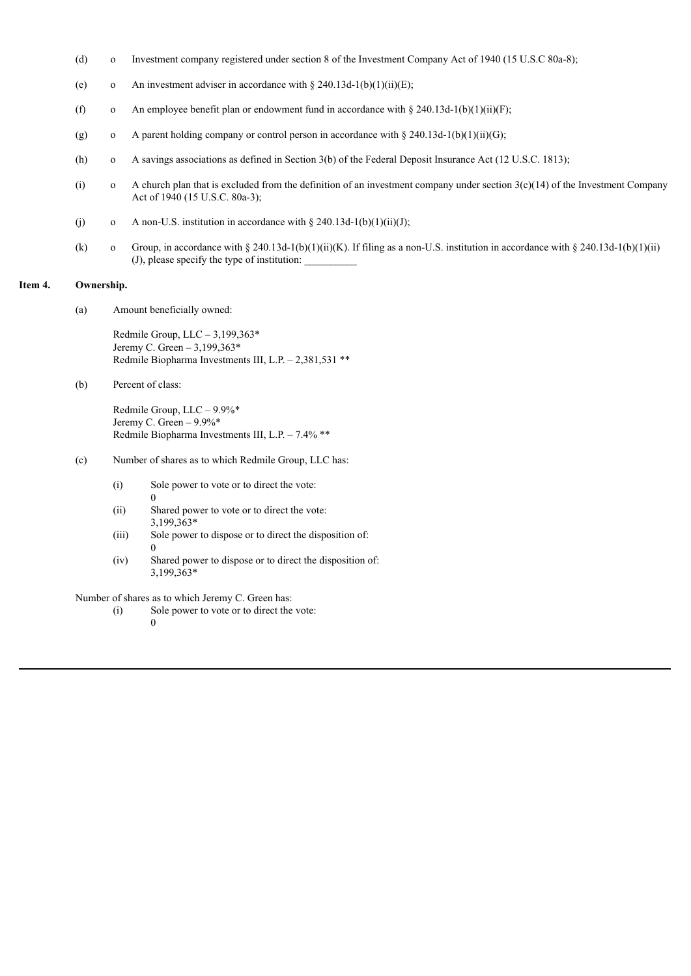- (d) o Investment company registered under section 8 of the Investment Company Act of 1940 (15 U.S.C 80a-8);
- (e) o An investment adviser in accordance with  $\S 240.13d-1(b)(1)(ii)(E)$ ;
- (f) o An employee benefit plan or endowment fund in accordance with § 240.13d-1(b)(1)(ii)(F);
- (g) o A parent holding company or control person in accordance with § 240.13d-1(b)(1)(ii)(G);
- (h) o A savings associations as defined in Section 3(b) of the Federal Deposit Insurance Act (12 U.S.C. 1813);
- (i) o A church plan that is excluded from the definition of an investment company under section  $3(c)(14)$  of the Investment Company Act of 1940 (15 U.S.C. 80a-3);
- (j) o A non-U.S. institution in accordance with  $\S 240.13d-1(b)(1)(ii)(J);$
- (k) o Group, in accordance with § 240.13d-1(b)(1)(ii)(K). If filing as a non-U.S. institution in accordance with § 240.13d-1(b)(1)(ii)  $(J)$ , please specify the type of institution:

### **Item 4. Ownership.**

(a) Amount beneficially owned:

Redmile Group, LLC – 3,199,363\* Jeremy C. Green – 3,199,363\* Redmile Biopharma Investments III, L.P. – 2,381,531 \*\*

(b) Percent of class:

Redmile Group, LLC – 9.9%\* Jeremy C. Green – 9.9%\* Redmile Biopharma Investments III, L.P. – 7.4% \*\*

- (c) Number of shares as to which Redmile Group, LLC has:
	- (i) Sole power to vote or to direct the vote:
	- (ii) Shared power to vote or to direct the vote: 3,199,363\*
	- (iii) Sole power to dispose or to direct the disposition of:  $\Omega$
	- (iv) Shared power to dispose or to direct the disposition of: 3,199,363\*

Number of shares as to which Jeremy C. Green has:

- (i) Sole power to vote or to direct the vote:
	- $\theta$

0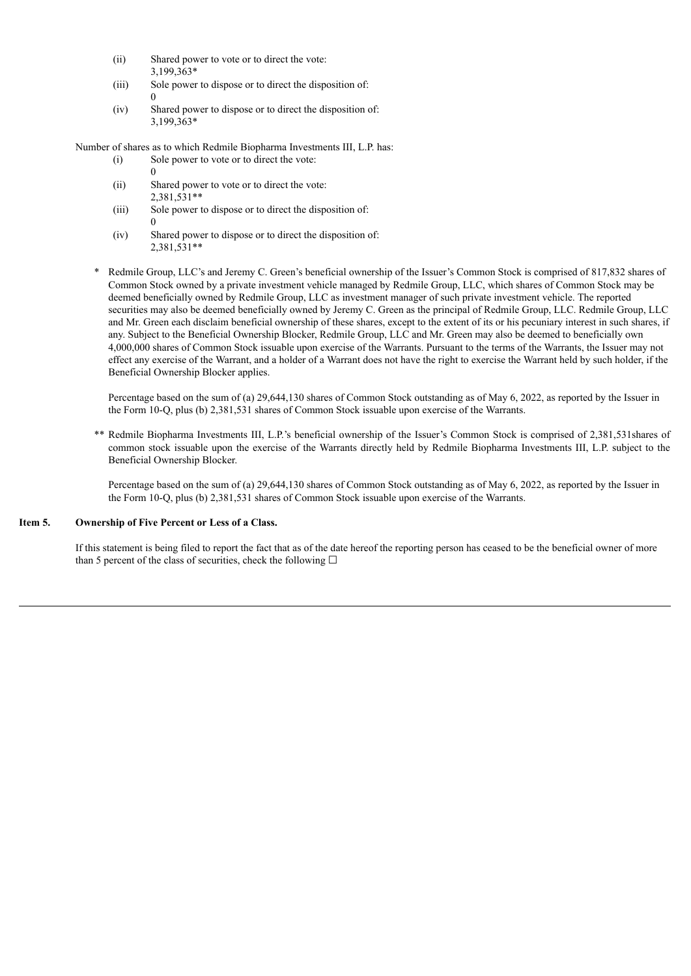- (ii) Shared power to vote or to direct the vote: 3,199,363\*
- (iii) Sole power to dispose or to direct the disposition of: 0
- (iv) Shared power to dispose or to direct the disposition of: 3,199,363\*

Number of shares as to which Redmile Biopharma Investments III, L.P. has:

- (i) Sole power to vote or to direct the vote:  $\Omega$
- (ii) Shared power to vote or to direct the vote: 2,381,531\*\*
- (iii) Sole power to dispose or to direct the disposition of: 0
- (iv) Shared power to dispose or to direct the disposition of: 2,381,531\*\*
- \* Redmile Group, LLC's and Jeremy C. Green's beneficial ownership of the Issuer's Common Stock is comprised of 817,832 shares of Common Stock owned by a private investment vehicle managed by Redmile Group, LLC, which shares of Common Stock may be deemed beneficially owned by Redmile Group, LLC as investment manager of such private investment vehicle. The reported securities may also be deemed beneficially owned by Jeremy C. Green as the principal of Redmile Group, LLC. Redmile Group, LLC and Mr. Green each disclaim beneficial ownership of these shares, except to the extent of its or his pecuniary interest in such shares, if any. Subject to the Beneficial Ownership Blocker, Redmile Group, LLC and Mr. Green may also be deemed to beneficially own 4,000,000 shares of Common Stock issuable upon exercise of the Warrants. Pursuant to the terms of the Warrants, the Issuer may not effect any exercise of the Warrant, and a holder of a Warrant does not have the right to exercise the Warrant held by such holder, if the Beneficial Ownership Blocker applies.

Percentage based on the sum of (a) 29,644,130 shares of Common Stock outstanding as of May 6, 2022, as reported by the Issuer in the Form 10-Q, plus (b) 2,381,531 shares of Common Stock issuable upon exercise of the Warrants.

\*\* Redmile Biopharma Investments III, L.P.'s beneficial ownership of the Issuer's Common Stock is comprised of 2,381,531shares of common stock issuable upon the exercise of the Warrants directly held by Redmile Biopharma Investments III, L.P. subject to the Beneficial Ownership Blocker.

Percentage based on the sum of (a) 29,644,130 shares of Common Stock outstanding as of May 6, 2022, as reported by the Issuer in the Form 10-Q, plus (b) 2,381,531 shares of Common Stock issuable upon exercise of the Warrants.

### **Item 5. Ownership of Five Percent or Less of a Class.**

If this statement is being filed to report the fact that as of the date hereof the reporting person has ceased to be the beneficial owner of more than 5 percent of the class of securities, check the following  $\Box$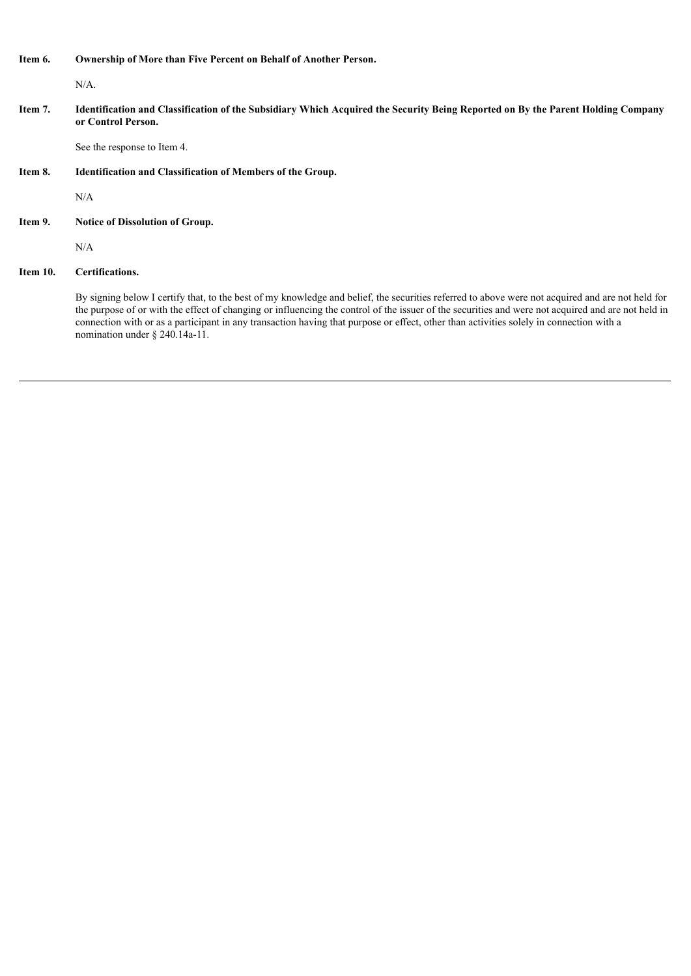### **Item 6. Ownership of More than Five Percent on Behalf of Another Person.**

N/A.

Item 7. Identification and Classification of the Subsidiary Which Acquired the Security Being Reported on By the Parent Holding Company **or Control Person.**

See the response to Item 4.

**Item 8. Identification and Classification of Members of the Group.**

N/A

**Item 9. Notice of Dissolution of Group.**

N/A

### **Item 10. Certifications.**

By signing below I certify that, to the best of my knowledge and belief, the securities referred to above were not acquired and are not held for the purpose of or with the effect of changing or influencing the control of the issuer of the securities and were not acquired and are not held in connection with or as a participant in any transaction having that purpose or effect, other than activities solely in connection with a nomination under § 240.14a-11.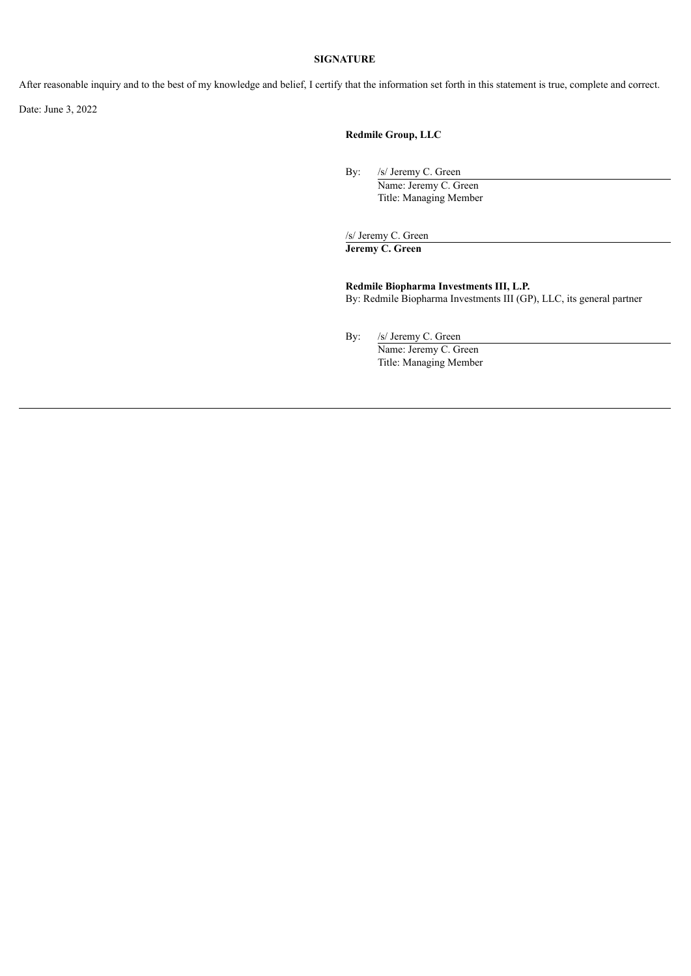### **SIGNATURE**

After reasonable inquiry and to the best of my knowledge and belief, I certify that the information set forth in this statement is true, complete and correct.

Date: June 3, 2022

## **Redmile Group, LLC**

By: /s/ Jeremy C. Green

Name: Jeremy C. Green Title: Managing Member

/s/ Jeremy C. Green

**Jeremy C. Green**

**Redmile Biopharma Investments III, L.P.** By: Redmile Biopharma Investments III (GP), LLC, its general partner

By: /s/ Jeremy C. Green

Name: Jeremy C. Green Title: Managing Member